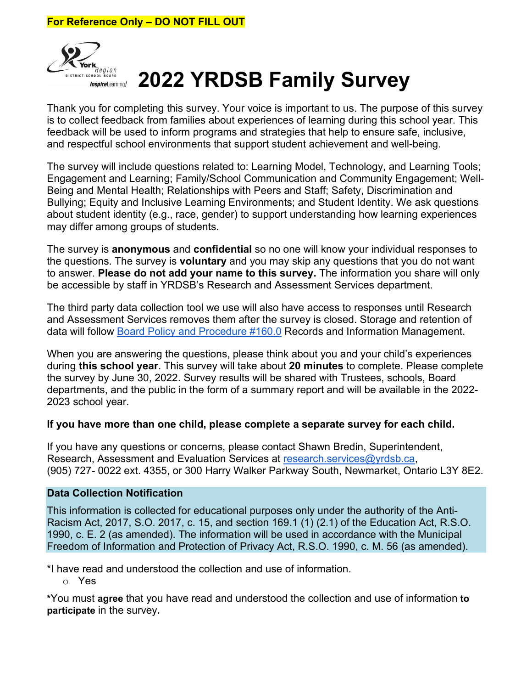

# *Inspiratesming!* **2022 YRDSB Family Survey**

Thank you for completing this survey. Your voice is important to us. The purpose of this survey is to collect feedback from families about experiences of learning during this school year. This feedback will be used to inform programs and strategies that help to ensure safe, inclusive, and respectful school environments that support student achievement and well-being.

The survey will include questions related to: Learning Model, Technology, and Learning Tools; Engagement and Learning; Family/School Communication and Community Engagement; Well-Being and Mental Health; Relationships with Peers and Staff; Safety, Discrimination and Bullying; Equity and Inclusive Learning Environments; and Student Identity. We ask questions about student identity (e.g., race, gender) to support understanding how learning experiences may differ among groups of students.

The survey is **anonymous** and **confidential** so no one will know your individual responses to the questions. The survey is **voluntary** and you may skip any questions that you do not want to answer. **Please do not add your name to this survey.** The information you share will only be accessible by staff in YRDSB's Research and Assessment Services department.

The third party data collection tool we use will also have access to responses until Research and Assessment Services removes them after the survey is closed. Storage and retention of data will follow [Board Policy and Procedure #160.0](http://www.yrdsb.ca/boarddocs/Documents/PP-recordsandinformationmanagement-160.pdf) Records and Information Management.

When you are answering the questions, please think about you and your child's experiences during **this school year**. This survey will take about **20 minutes** to complete. Please complete the survey by June 30, 2022. Survey results will be shared with Trustees, schools, Board departments, and the public in the form of a summary report and will be available in the 2022- 2023 school year.

#### **If you have more than one child, please complete a separate survey for each child.**

If you have any questions or concerns, please contact Shawn Bredin, Superintendent, Research, Assessment and Evaluation Services at [research.services@yrdsb.ca,](mailto:research.services@yrdsb.ca) (905) 727- 0022 ext. 4355, or 300 Harry Walker Parkway South, Newmarket, Ontario L3Y 8E2.

#### **Data Collection Notification**

This information is collected for educational purposes only under the authority of the Anti-Racism Act, 2017, S.O. 2017, c. 15, and section 169.1 (1) (2.1) of the Education Act, R.S.O. 1990, c. E. 2 (as amended). The information will be used in accordance with the Municipal Freedom of Information and Protection of Privacy Act, R.S.O. 1990, c. M. 56 (as amended).

\*I have read and understood the collection and use of information.

o Yes

**\***You must **agree** that you have read and understood the collection and use of information **to participate** in the survey**.**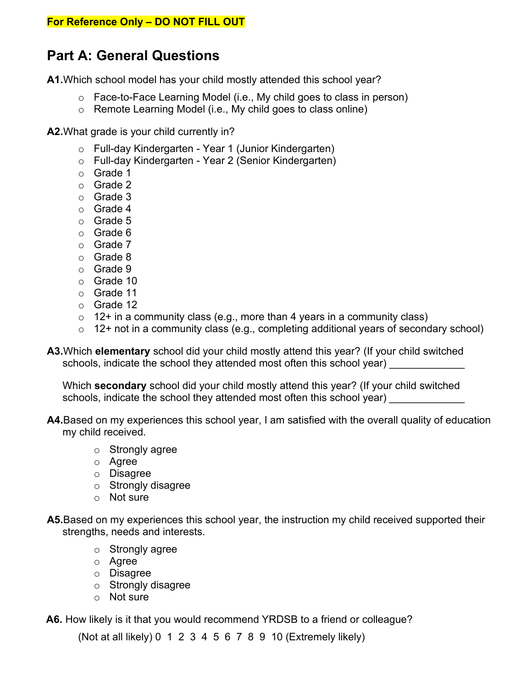# **Part A: General Questions**

**A1.**Which school model has your child mostly attended this school year?

- o Face-to-Face Learning Model (i.e., My child goes to class in person)
- o Remote Learning Model (i.e., My child goes to class online)

**A2.**What grade is your child currently in?

- o Full-day Kindergarten Year 1 (Junior Kindergarten)
- o Full-day Kindergarten Year 2 (Senior Kindergarten)
- o Grade 1
- o Grade 2
- o Grade 3
- o Grade 4
- o Grade 5
- o Grade 6
- o Grade 7
- o Grade 8
- o Grade 9
- o Grade 10
- o Grade 11
- o Grade 12
- $\circ$  12+ in a community class (e.g., more than 4 years in a community class)
- o 12+ not in a community class (e.g., completing additional years of secondary school)
- **A3.**Which **elementary** school did your child mostly attend this year? (If your child switched schools, indicate the school they attended most often this school year)

Which **secondary** school did your child mostly attend this year? (If your child switched schools, indicate the school they attended most often this school year)

- **A4.**Based on my experiences this school year, I am satisfied with the overall quality of education my child received.
	- o Strongly agree
	- o Agree
	- o Disagree
	- o Strongly disagree
	- o Not sure
- **A5.**Based on my experiences this school year, the instruction my child received supported their strengths, needs and interests.
	- o Strongly agree
	- o Agree
	- o Disagree
	- o Strongly disagree
	- o Not sure

**A6.** How likely is it that you would recommend YRDSB to a friend or colleague?

(Not at all likely) 0 1 2 3 4 5 6 7 8 9 10 (Extremely likely)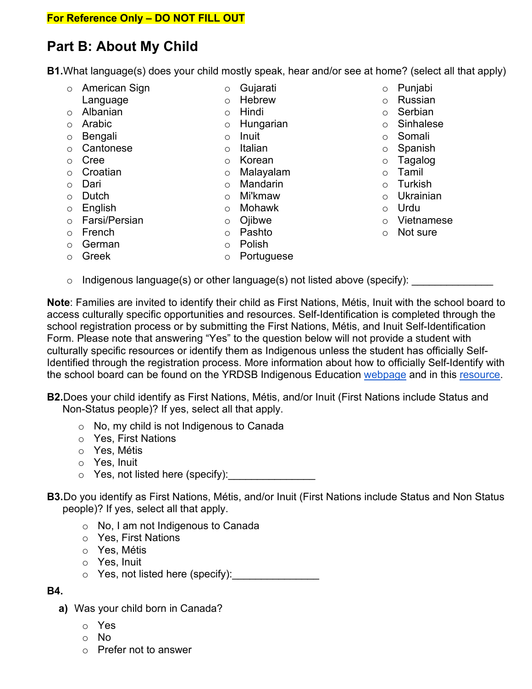# **Part B: About My Child**

**B1.**What language(s) does your child mostly speak, hear and/or see at home? (select all that apply)

- o American Sign
- Language
- o Albanian
- o Arabic
- o Bengali
- o Cantonese
- o Cree
- o Croatian
- 
- o Dari<br>o Dutch o Dutch
- o English
- o Farsi/Persian
- o French
- o German
- o Greek
- o Pashto
- 
- 
- o Polish
- 
- o Punjabi
- o Russian
- o Serbian
- o Sinhalese
- o Somali
- o Spanish
- o Tagalog
- o Tamil
- o Turkish
- o Ukrainian
- o Urdu
- o Vietnamese
- o Not sure
- $\circ$  Indigenous language(s) or other language(s) not listed above (specify):

**Note**: Families are invited to identify their child as First Nations, Métis, Inuit with the school board to access culturally specific opportunities and resources. Self-Identification is completed through the school registration process or by submitting the First Nations, Métis, and Inuit Self-Identification Form. Please note that answering "Yes" to the question below will not provide a student with culturally specific resources or identify them as Indigenous unless the student has officially Self-Identified through the registration process. More information about how to officially Self-Identify with the school board can be found on the YRDSB Indigenous Education [webpage](https://www2.yrdsb.ca/student-support/first-nations-metis-and-inuit-education/self-identification) and in this [resource.](https://www2.yrdsb.ca/sites/default/files/migrate/files/FOR-aboriginalselfid-601.pdf)

**B2.**Does your child identify as First Nations, Métis, and/or Inuit (First Nations include Status and Non-Status people)? If yes, select all that apply.

- o No, my child is not Indigenous to Canada
- o Yes, First Nations
- o Yes, Métis
- o Yes, Inuit
- $\circ$  Yes, not listed here (specify):
- **B3.**Do you identify as First Nations, Métis, and/or Inuit (First Nations include Status and Non Status people)? If yes, select all that apply.
	- o No, I am not Indigenous to Canada
	- o Yes, First Nations
	- o Yes, Métis
	- o Yes, Inuit
	- $\circ$  Yes, not listed here (specify):

#### **B4.**

- **a)** Was your child born in Canada?
	- o Yes
	- o No
	- o Prefer not to answer
- o Gujarati
- o Hebrew
- o Hindi
- o Hungarian
- o Inuit
- o Italian
- o Korean
- o Malayalam
- o Mandarin
- o Mi'kmaw
- o Mohawk
- o Ojibwe
	-
	-
	-
- o Portuguese
-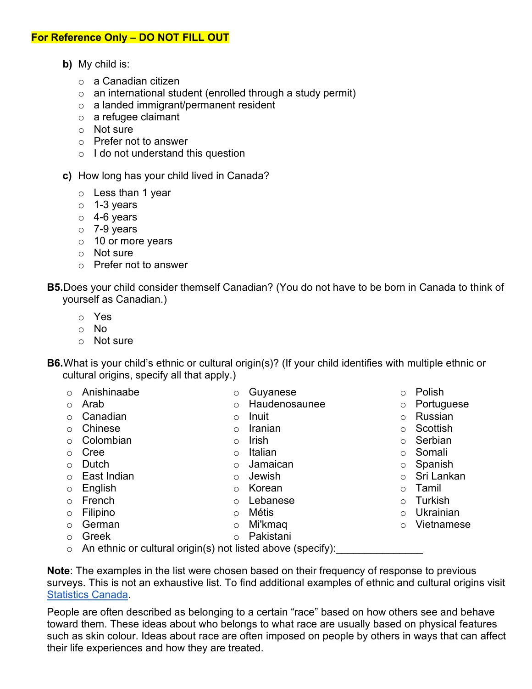- **b)** My child is:
	- o a Canadian citizen
	- $\circ$  an international student (enrolled through a study permit)
	- o a landed immigrant/permanent resident
	- o a refugee claimant
	- o Not sure
	- o Prefer not to answer
	- $\circ$  I do not understand this question
- **c)** How long has your child lived in Canada?
	- o Less than 1 year
	- $\circ$  1-3 years
	- $\circ$  4-6 years
	- $\circ$  7-9 years
	- o 10 or more years
	- o Not sure
	- o Prefer not to answer
- **B5.**Does your child consider themself Canadian? (You do not have to be born in Canada to think of yourself as Canadian.)
	- o Yes
	- o No
	- o Not sure
- **B6.**What is your child's ethnic or cultural origin(s)? (If your child identifies with multiple ethnic or cultural origins, specify all that apply.)

| $\bigcirc$ | Anishinaabe                                                           | $\circ$    | Guyanese      | $\circ$    | Polish     |
|------------|-----------------------------------------------------------------------|------------|---------------|------------|------------|
| $\bigcirc$ | Arab                                                                  | $\circ$    | Haudenosaunee | $\circ$    | Portuguese |
|            | Canadian                                                              | $\circ$    | Inuit         | $\circ$    | Russian    |
|            | Chinese                                                               | $\circ$    | Iranian       | $\circ$    | Scottish   |
|            | Colombian                                                             | $\circ$    | <b>Irish</b>  | $\circ$    | Serbian    |
| $\bigcirc$ | Cree                                                                  | $\circ$    | Italian       | $\circ$    | Somali     |
| $\bigcirc$ | Dutch                                                                 | $\circ$    | Jamaican      | $\circ$    | Spanish    |
| $\bigcirc$ | East Indian                                                           | $\circ$    | Jewish        | $\circ$    | Sri Lankan |
|            | English                                                               | $\circ$    | Korean        | $\circ$    | Tamil      |
| $\bigcirc$ | French                                                                | $\bigcirc$ | Lebanese      | $\circ$    | Turkish    |
|            | Filipino                                                              | $\circ$    | Métis         | $\bigcirc$ | Ukrainian  |
| $\bigcirc$ | German                                                                | $\circ$    | Mi'kmaq       | $\bigcirc$ | Vietnamese |
| $\bigcirc$ | Greek                                                                 | $\circ$    | Pakistani     |            |            |
|            | $\Lambda$ p attents ar quitural arigin(a) not listed above (appelty). |            |               |            |            |

o An ethnic or cultural origin(s) not listed above (specify):

**Note**: The examples in the list were chosen based on their frequency of response to previous surveys. This is not an exhaustive list. To find additional examples of ethnic and cultural origins visit [Statistics](https://www12.statcan.gc.ca/census-recensement/2021/ref/98-20-0002/982000022020001-eng.cfm#a7) Canada.

People are often described as belonging to a certain "race" based on how others see and behave toward them. These ideas about who belongs to what race are usually based on physical features such as skin colour. Ideas about race are often imposed on people by others in ways that can affect their life experiences and how they are treated.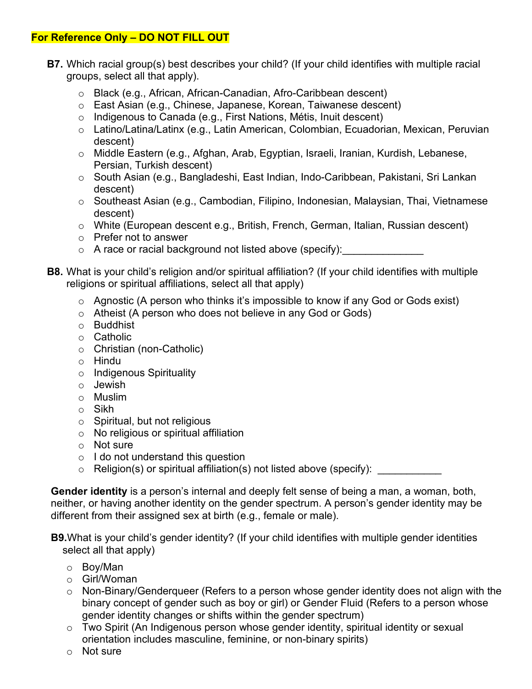- **B7.** Which racial group(s) best describes your child? (If your child identifies with multiple racial groups, select all that apply).
	- o Black (e.g., African, African-Canadian, Afro-Caribbean descent)
	- o East Asian (e.g., Chinese, Japanese, Korean, Taiwanese descent)
	- o Indigenous to Canada (e.g., First Nations, Métis, Inuit descent)
	- o Latino/Latina/Latinx (e.g., Latin American, Colombian, Ecuadorian, Mexican, Peruvian descent)
	- o Middle Eastern (e.g., Afghan, Arab, Egyptian, Israeli, Iranian, Kurdish, Lebanese, Persian, Turkish descent)
	- o South Asian (e.g., Bangladeshi, East Indian, Indo-Caribbean, Pakistani, Sri Lankan descent)
	- o Southeast Asian (e.g., Cambodian, Filipino, Indonesian, Malaysian, Thai, Vietnamese descent)
	- o White (European descent e.g., British, French, German, Italian, Russian descent)
	- o Prefer not to answer
	- $\circ$  A race or racial background not listed above (specify):
- **B8.** What is your child's religion and/or spiritual affiliation? (If your child identifies with multiple religions or spiritual affiliations, select all that apply)
	- o Agnostic (A person who thinks it's impossible to know if any God or Gods exist)
	- o Atheist (A person who does not believe in any God or Gods)
	- o Buddhist
	- o Catholic
	- o Christian (non-Catholic)
	- o Hindu
	- o Indigenous Spirituality
	- o Jewish
	- o Muslim
	- o Sikh
	- o Spiritual, but not religious
	- o No religious or spiritual affiliation
	- o Not sure
	- $\circ$  I do not understand this question
	- $\circ$  Religion(s) or spiritual affiliation(s) not listed above (specify):

**Gender identity** is a person's internal and deeply felt sense of being a man, a woman, both, neither, or having another identity on the gender spectrum. A person's gender identity may be different from their assigned sex at birth (e.g., female or male).

**B9.**What is your child's gender identity? (If your child identifies with multiple gender identities select all that apply)

- o Boy/Man
- o Girl/Woman
- o Non-Binary/Genderqueer (Refers to a person whose gender identity does not align with the binary concept of gender such as boy or girl) or Gender Fluid (Refers to a person whose gender identity changes or shifts within the gender spectrum)
- o Two Spirit (An Indigenous person whose gender identity, spiritual identity or sexual orientation includes masculine, feminine, or non-binary spirits)
- o Not sure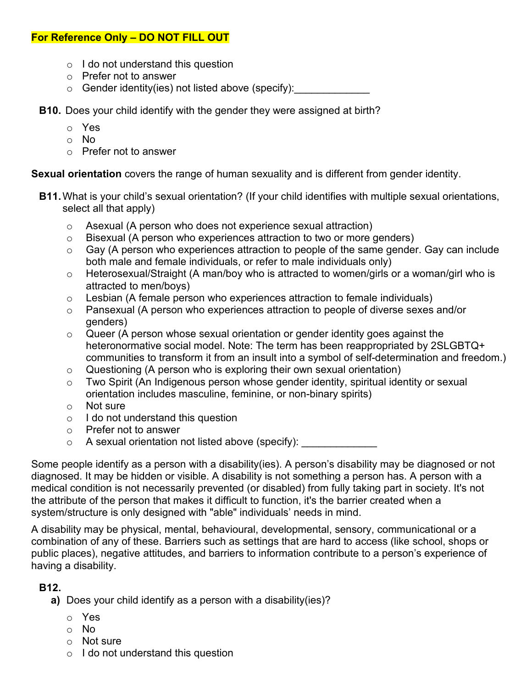- o I do not understand this question
- o Prefer not to answer
- $\circ$  Gender identity(ies) not listed above (specify):
- **B10.** Does your child identify with the gender they were assigned at birth?
	- o Yes
	- o No
	- o Prefer not to answer

**Sexual orientation** covers the range of human sexuality and is different from gender identity.

- **B11.**What is your child's sexual orientation? (If your child identifies with multiple sexual orientations, select all that apply)
	- o Asexual (A person who does not experience sexual attraction)
	- $\circ$  Bisexual (A person who experiences attraction to two or more genders)
	- $\circ$  Gay (A person who experiences attraction to people of the same gender. Gay can include both male and female individuals, or refer to male individuals only)
	- o Heterosexual/Straight (A man/boy who is attracted to women/girls or a woman/girl who is attracted to men/boys)
	- $\circ$  Lesbian (A female person who experiences attraction to female individuals)
	- $\circ$  Pansexual (A person who experiences attraction to people of diverse sexes and/or genders)
	- $\circ$  Queer (A person whose sexual orientation or gender identity goes against the heteronormative social model. Note: The term has been reappropriated by 2SLGBTQ+ communities to transform it from an insult into a symbol of self-determination and freedom.)
	- $\circ$  Questioning (A person who is exploring their own sexual orientation)
	- o Two Spirit (An Indigenous person whose gender identity, spiritual identity or sexual orientation includes masculine, feminine, or non-binary spirits)
	- o Not sure
	- o I do not understand this question
	- o Prefer not to answer
	- $\circ$  A sexual orientation not listed above (specify):

Some people identify as a person with a disability(ies). A person's disability may be diagnosed or not diagnosed. It may be hidden or visible. A disability is not something a person has. A person with a medical condition is not necessarily prevented (or disabled) from fully taking part in society. It's not the attribute of the person that makes it difficult to function, it's the barrier created when a system/structure is only designed with "able" individuals' needs in mind.

A disability may be physical, mental, behavioural, developmental, sensory, communicational or a combination of any of these. Barriers such as settings that are hard to access (like school, shops or public places), negative attitudes, and barriers to information contribute to a person's experience of having a disability.

### **B12.**

**a)** Does your child identify as a person with a disability(ies)?

- o Yes
- o No
- o Not sure
- $\circ$  I do not understand this question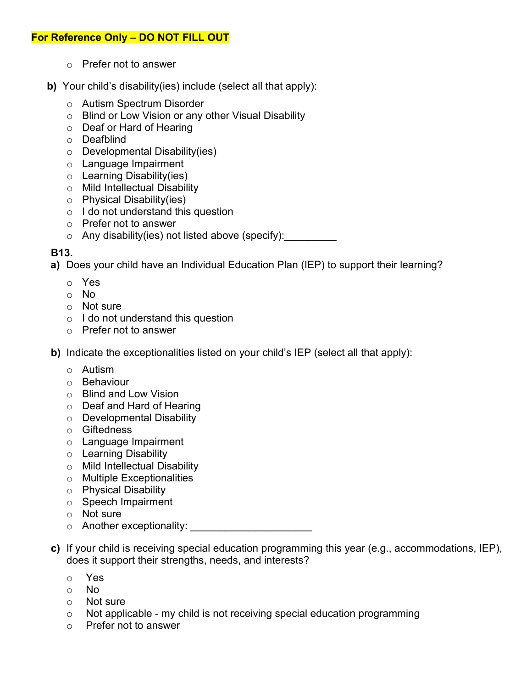- o Prefer not to answer
- **b)** Your child's disability(ies) include (select all that apply):
	- o Autism Spectrum Disorder
	- o Blind or Low Vision or any other Visual Disability
	- o Deaf or Hard of Hearing
	- o Deafblind
	- $\circ$  Developmental Disability(ies)
	- o Language Impairment
	- o Learning Disability(ies)
	- o Mild Intellectual Disability
	- o Physical Disability(ies)
	- $\circ$  I do not understand this question
	- o Prefer not to answer
	- $\circ$  Any disability(ies) not listed above (specify):

#### **B13.**

**a)** Does your child have an Individual Education Plan (IEP) to support their learning?

- o Yes
- o No
- o Not sure
- o I do not understand this question
- o Prefer not to answer
- **b)** Indicate the exceptionalities listed on your child's IEP (select all that apply):
	- o Autism
	- o Behaviour
	- o Blind and Low Vision
	- o Deaf and Hard of Hearing
	- o Developmental Disability
	- o Giftedness
	- o Language Impairment
	- o Learning Disability
	- o Mild Intellectual Disability
	- o Multiple Exceptionalities
	- o Physical Disability
	- o Speech Impairment
	- o Not sure
	- o Another exceptionality: **Another exceptionality**:
- **c)** If your child is receiving special education programming this year (e.g., accommodations, IEP), does it support their strengths, needs, and interests?
	- o Yes
	- o No
	- o Not sure
	- $\circ$  Not applicable my child is not receiving special education programming  $\circ$  Prefer not to answer
	- Prefer not to answer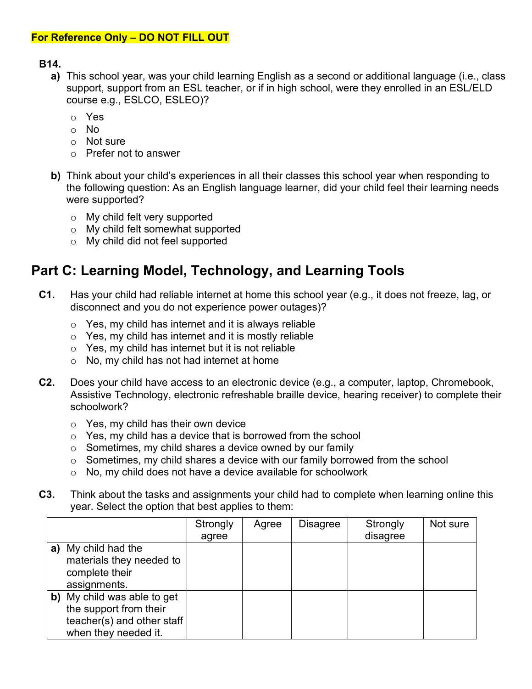#### **B14.**

- **a)** This school year, was your child learning English as a second or additional language (i.e., class support, support from an ESL teacher, or if in high school, were they enrolled in an ESL/ELD course e.g., ESLCO, ESLEO)?
	- o Yes
	- o No
	- o Not sure
	- o Prefer not to answer
- **b)** Think about your child's experiences in all their classes this school year when responding to the following question: As an English language learner, did your child feel their learning needs were supported?
	- o My child felt very supported
	- o My child felt somewhat supported
	- o My child did not feel supported

# **Part C: Learning Model, Technology, and Learning Tools**

- **C1.** Has your child had reliable internet at home this school year (e.g., it does not freeze, lag, or disconnect and you do not experience power outages)?
	- $\circ$  Yes, my child has internet and it is always reliable
	- $\circ$  Yes, my child has internet and it is mostly reliable
	- $\circ$  Yes, my child has internet but it is not reliable
	- o No, my child has not had internet at home
- **C2.** Does your child have access to an electronic device (e.g., a computer, laptop, Chromebook, Assistive Technology, electronic refreshable braille device, hearing receiver) to complete their schoolwork?
	- $\circ$  Yes, my child has their own device
	- $\circ$  Yes, my child has a device that is borrowed from the school
	- $\circ$  Sometimes, my child shares a device owned by our family
	- $\circ$  Sometimes, my child shares a device with our family borrowed from the school
	- $\circ$  No, my child does not have a device available for schoolwork
- **C3.** Think about the tasks and assignments your child had to complete when learning online this year. Select the option that best applies to them:

|    |                            | Strongly | Agree | <b>Disagree</b> | Strongly | Not sure |
|----|----------------------------|----------|-------|-----------------|----------|----------|
|    |                            | agree    |       |                 | disagree |          |
| a) | My child had the           |          |       |                 |          |          |
|    | materials they needed to   |          |       |                 |          |          |
|    | complete their             |          |       |                 |          |          |
|    | assignments.               |          |       |                 |          |          |
| b) | My child was able to get   |          |       |                 |          |          |
|    | the support from their     |          |       |                 |          |          |
|    | teacher(s) and other staff |          |       |                 |          |          |
|    | when they needed it.       |          |       |                 |          |          |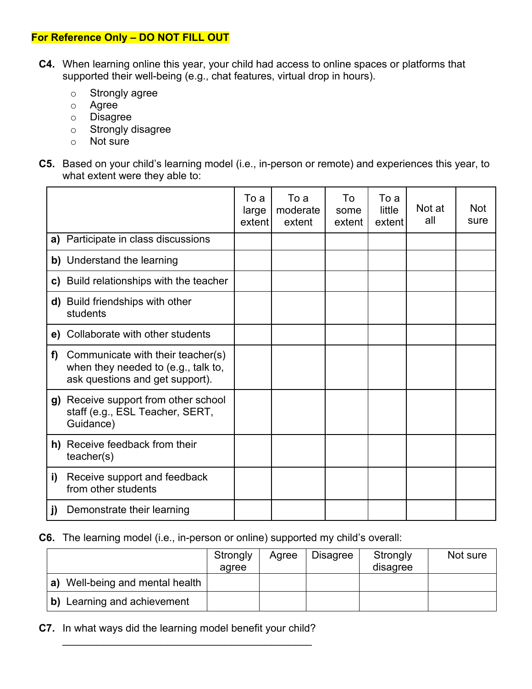- **C4.** When learning online this year, your child had access to online spaces or platforms that supported their well-being (e.g., chat features, virtual drop in hours).
	- o Strongly agree
	- o Agree
	- o Disagree
	- o Strongly disagree
	- o Not sure
- **C5.** Based on your child's learning model (i.e., in-person or remote) and experiences this year, to what extent were they able to:

|    |                                                                                                             | To a<br>large<br>extent | To a<br>moderate<br>extent | To<br>some<br>extent | To a<br>little<br>extent | Not at<br>all | <b>Not</b><br>sure |
|----|-------------------------------------------------------------------------------------------------------------|-------------------------|----------------------------|----------------------|--------------------------|---------------|--------------------|
|    | a) Participate in class discussions                                                                         |                         |                            |                      |                          |               |                    |
|    | b) Understand the learning                                                                                  |                         |                            |                      |                          |               |                    |
|    | c) Build relationships with the teacher                                                                     |                         |                            |                      |                          |               |                    |
|    | d) Build friendships with other<br>students                                                                 |                         |                            |                      |                          |               |                    |
|    | e) Collaborate with other students                                                                          |                         |                            |                      |                          |               |                    |
| f) | Communicate with their teacher(s)<br>when they needed to (e.g., talk to,<br>ask questions and get support). |                         |                            |                      |                          |               |                    |
|    | g) Receive support from other school<br>staff (e.g., ESL Teacher, SERT,<br>Guidance)                        |                         |                            |                      |                          |               |                    |
|    | h) Receive feedback from their<br>teacher(s)                                                                |                         |                            |                      |                          |               |                    |
| i) | Receive support and feedback<br>from other students                                                         |                         |                            |                      |                          |               |                    |
| j) | Demonstrate their learning                                                                                  |                         |                            |                      |                          |               |                    |

**C6.** The learning model (i.e., in-person or online) supported my child's overall:

|                                    | Strongly<br>agree | Agree | <b>Disagree</b> | Strongly<br>disagree | Not sure |
|------------------------------------|-------------------|-------|-----------------|----------------------|----------|
| Well-being and mental health<br>a) |                   |       |                 |                      |          |
| Learning and achievement<br>b)     |                   |       |                 |                      |          |

**C7.** In what ways did the learning model benefit your child?

\_\_\_\_\_\_\_\_\_\_\_\_\_\_\_\_\_\_\_\_\_\_\_\_\_\_\_\_\_\_\_\_\_\_\_\_\_\_\_\_\_\_\_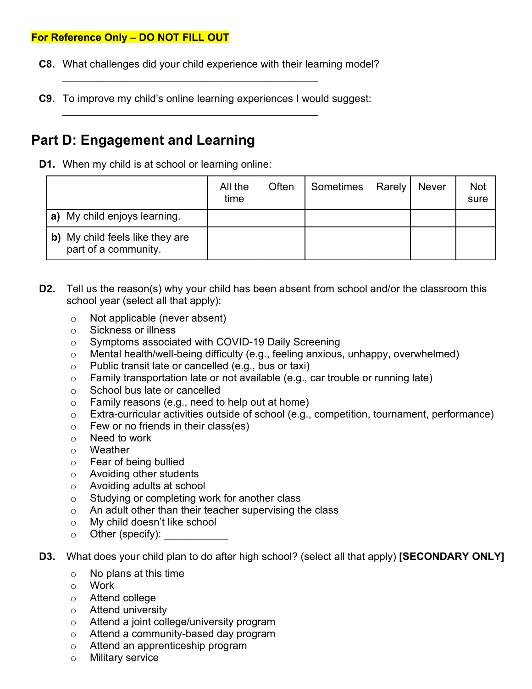- **C8.** What challenges did your child experience with their learning model?
- **C9.** To improve my child's online learning experiences I would suggest:

\_\_\_\_\_\_\_\_\_\_\_\_\_\_\_\_\_\_\_\_\_\_\_\_\_\_\_\_\_\_\_\_\_\_\_\_\_\_\_\_\_\_\_\_

\_\_\_\_\_\_\_\_\_\_\_\_\_\_\_\_\_\_\_\_\_\_\_\_\_\_\_\_\_\_\_\_\_\_\_\_\_\_\_\_\_\_\_\_

# **Part D: Engagement and Learning**

**D1.** When my child is at school or learning online:

|                                                         | All the<br>time | Often | Sometimes | Rarely   Never | Not<br>sure |
|---------------------------------------------------------|-----------------|-------|-----------|----------------|-------------|
| My child enjoys learning.<br>a)                         |                 |       |           |                |             |
| b) My child feels like they are<br>part of a community. |                 |       |           |                |             |

- **D2.** Tell us the reason(s) why your child has been absent from school and/or the classroom this school year (select all that apply):
	- o Not applicable (never absent)
	- o Sickness or illness
	- o Symptoms associated with COVID-19 Daily Screening
	- o Mental health/well-being difficulty (e.g., feeling anxious, unhappy, overwhelmed)
	- o Public transit late or cancelled (e.g., bus or taxi)
	- $\circ$  Family transportation late or not available (e.g., car trouble or running late)
	- o School bus late or cancelled
	- $\circ$  Family reasons (e.g., need to help out at home)
	- o Extra-curricular activities outside of school (e.g., competition, tournament, performance)
	- $\circ$  Few or no friends in their class(es)
	- o Need to work
	- o Weather
	- o Fear of being bullied
	- o Avoiding other students
	- o Avoiding adults at school
	- o Studying or completing work for another class
	- o An adult other than their teacher supervising the class
	- o My child doesn't like school
	- $\circ$  Other (specify):  $\_\_$
- **D3.** What does your child plan to do after high school? (select all that apply) **[SECONDARY ONLY]**
	- o No plans at this time
	- o Work
	- o Attend college
	- o Attend university
	- o Attend a joint college/university program
	- o Attend a community-based day program
	- o Attend an apprenticeship program
	- o Military service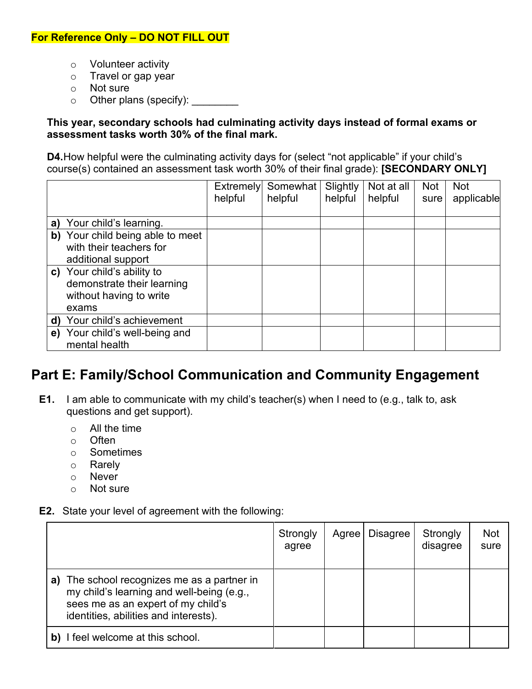- o Volunteer activity
- o Travel or gap year
- o Not sure
- o Other plans (specify): <u>contained</u>

#### **This year, secondary schools had culminating activity days instead of formal exams or assessment tasks worth 30% of the final mark.**

**D4.**How helpful were the culminating activity days for (select "not applicable" if your child's course(s) contained an assessment task worth 30% of their final grade): **[SECONDARY ONLY]**

|    |                                                                                              | <b>Extremely</b><br>helpful | Somewhat<br>helpful | Slightly<br>helpful | Not at all<br>helpful | <b>Not</b><br>sure | <b>Not</b><br>applicable |
|----|----------------------------------------------------------------------------------------------|-----------------------------|---------------------|---------------------|-----------------------|--------------------|--------------------------|
|    | a) Your child's learning.                                                                    |                             |                     |                     |                       |                    |                          |
| b) | Your child being able to meet<br>with their teachers for<br>additional support               |                             |                     |                     |                       |                    |                          |
|    | c) Your child's ability to<br>demonstrate their learning<br>without having to write<br>exams |                             |                     |                     |                       |                    |                          |
|    | d) Your child's achievement                                                                  |                             |                     |                     |                       |                    |                          |
| e) | Your child's well-being and<br>mental health                                                 |                             |                     |                     |                       |                    |                          |

# **Part E: Family/School Communication and Community Engagement**

- **E1.** I am able to communicate with my child's teacher(s) when I need to (e.g., talk to, ask questions and get support).
	- o All the time
	- o Often
	- o Sometimes<br>o Rarely
	- Rarely
	- o Never
	- o Not sure
- **E2.** State your level of agreement with the following:

|    |                                                                                                                                                                      | Strongly<br>agree | Agree | <b>Disagree</b> | Strongly<br>disagree | Not<br>sure |
|----|----------------------------------------------------------------------------------------------------------------------------------------------------------------------|-------------------|-------|-----------------|----------------------|-------------|
| a) | The school recognizes me as a partner in<br>my child's learning and well-being (e.g.,<br>sees me as an expert of my child's<br>identities, abilities and interests). |                   |       |                 |                      |             |
|    | I feel welcome at this school.                                                                                                                                       |                   |       |                 |                      |             |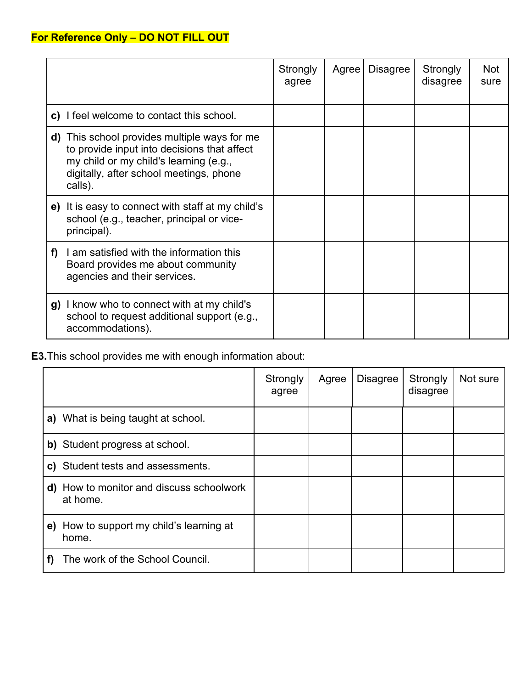|    |                                                                                                                                                                                          | Strongly<br>agree | Agree | <b>Disagree</b> | Strongly<br>disagree | <b>Not</b><br>sure |
|----|------------------------------------------------------------------------------------------------------------------------------------------------------------------------------------------|-------------------|-------|-----------------|----------------------|--------------------|
|    | c) I feel welcome to contact this school.                                                                                                                                                |                   |       |                 |                      |                    |
| d) | This school provides multiple ways for me<br>to provide input into decisions that affect<br>my child or my child's learning (e.g.,<br>digitally, after school meetings, phone<br>calls). |                   |       |                 |                      |                    |
|    | e) It is easy to connect with staff at my child's<br>school (e.g., teacher, principal or vice-<br>principal).                                                                            |                   |       |                 |                      |                    |
| f) | I am satisfied with the information this<br>Board provides me about community<br>agencies and their services.                                                                            |                   |       |                 |                      |                    |
|    | g) I know who to connect with at my child's<br>school to request additional support (e.g.,<br>accommodations).                                                                           |                   |       |                 |                      |                    |

**E3.**This school provides me with enough information about:

|                                                             | Strongly<br>agree | Agree | <b>Disagree</b> | Strongly<br>disagree | Not sure |
|-------------------------------------------------------------|-------------------|-------|-----------------|----------------------|----------|
| a) What is being taught at school.                          |                   |       |                 |                      |          |
| b) Student progress at school.                              |                   |       |                 |                      |          |
| c) Student tests and assessments.                           |                   |       |                 |                      |          |
| <b>d)</b> How to monitor and discuss schoolwork<br>at home. |                   |       |                 |                      |          |
| How to support my child's learning at<br>e)<br>home.        |                   |       |                 |                      |          |
| The work of the School Council.                             |                   |       |                 |                      |          |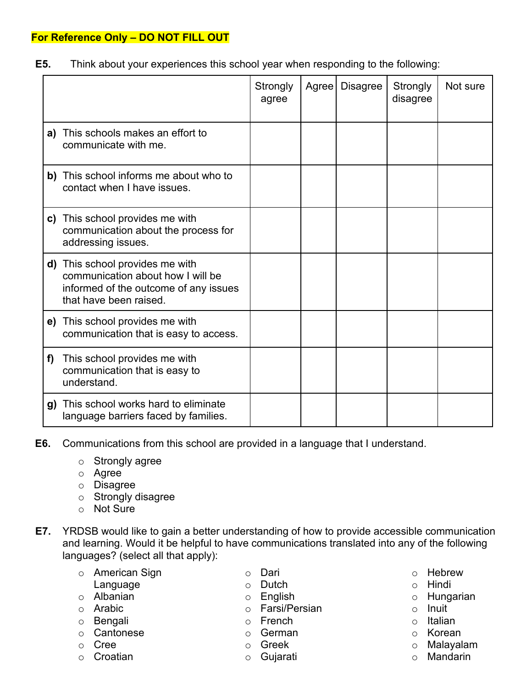**E5.** Think about your experiences this school year when responding to the following:

|    |                                                                                                                                         | Strongly<br>agree | Agree | <b>Disagree</b> | Strongly<br>disagree | Not sure |
|----|-----------------------------------------------------------------------------------------------------------------------------------------|-------------------|-------|-----------------|----------------------|----------|
|    | a) This schools makes an effort to<br>communicate with me.                                                                              |                   |       |                 |                      |          |
|    | b) This school informs me about who to<br>contact when I have issues.                                                                   |                   |       |                 |                      |          |
|    | c) This school provides me with<br>communication about the process for<br>addressing issues.                                            |                   |       |                 |                      |          |
|    | d) This school provides me with<br>communication about how I will be<br>informed of the outcome of any issues<br>that have been raised. |                   |       |                 |                      |          |
|    | e) This school provides me with<br>communication that is easy to access.                                                                |                   |       |                 |                      |          |
| f) | This school provides me with<br>communication that is easy to<br>understand.                                                            |                   |       |                 |                      |          |
| g) | This school works hard to eliminate<br>language barriers faced by families.                                                             |                   |       |                 |                      |          |

- **E6.** Communications from this school are provided in a language that I understand.
	- o Strongly agree
	- o Agree
	- o Disagree
	- o Strongly disagree
	- o Not Sure
- **E7.** YRDSB would like to gain a better understanding of how to provide accessible communication and learning. Would it be helpful to have communications translated into any of the following languages? (select all that apply):

| ○ American Sign | ○ Dari          | $\cap$ | Heb          |
|-----------------|-----------------|--------|--------------|
| Language        | $\circ$ Dutch   |        | $\circ$ Hinc |
| ○ Albanian      | $\circ$ English |        | ⊙ Hun        |
| ○ Arabic        | ○ Farsi/Persian | $\cap$ | Inuit        |
| ○ Bengali       | $\circ$ French  | ∩      | Italia       |

- o Cantonese
- o Cree
- o Croatian
- o German o Greek
- o Gujarati
- rew
- di
- ıgarian
- 
- an
- o Korean
- o Malayalam
- o Mandarin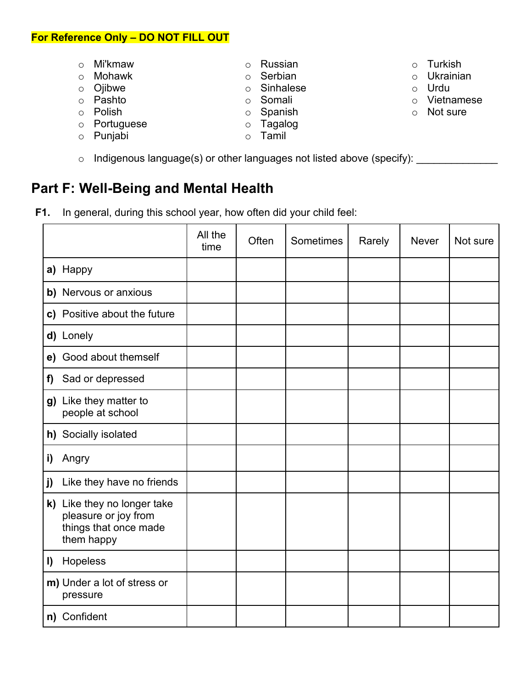- o Mi'kmaw
- o Mohawk
- o Ojibwe
- o Pashto
- o Polish
- o Portuguese
- o Punjabi
- o Tamil
- o Indigenous language(s) or other languages not listed above (specify):

# **Part F: Well-Being and Mental Health**

**F1.** In general, during this school year, how often did your child feel:

|              |                                                                                            | All the<br>time | Often | Sometimes | Rarely | <b>Never</b> | Not sure |
|--------------|--------------------------------------------------------------------------------------------|-----------------|-------|-----------|--------|--------------|----------|
|              | a) Happy                                                                                   |                 |       |           |        |              |          |
|              | b) Nervous or anxious                                                                      |                 |       |           |        |              |          |
|              | c) Positive about the future                                                               |                 |       |           |        |              |          |
|              | d) Lonely                                                                                  |                 |       |           |        |              |          |
|              | e) Good about themself                                                                     |                 |       |           |        |              |          |
| f)           | Sad or depressed                                                                           |                 |       |           |        |              |          |
|              | g) Like they matter to<br>people at school                                                 |                 |       |           |        |              |          |
|              | h) Socially isolated                                                                       |                 |       |           |        |              |          |
| i)           | Angry                                                                                      |                 |       |           |        |              |          |
| j)           | Like they have no friends                                                                  |                 |       |           |        |              |          |
|              | k) Like they no longer take<br>pleasure or joy from<br>things that once made<br>them happy |                 |       |           |        |              |          |
| $\mathbf{I}$ | Hopeless                                                                                   |                 |       |           |        |              |          |
|              | m) Under a lot of stress or<br>pressure                                                    |                 |       |           |        |              |          |
|              | n) Confident                                                                               |                 |       |           |        |              |          |

- o Turkish
- o Ukrainian
- o Urdu
- o Vietnamese
- o Not sure
- o Russian
- o Serbian o Sinhalese
- 
- o Somali o Spanish
- o Tagalog
-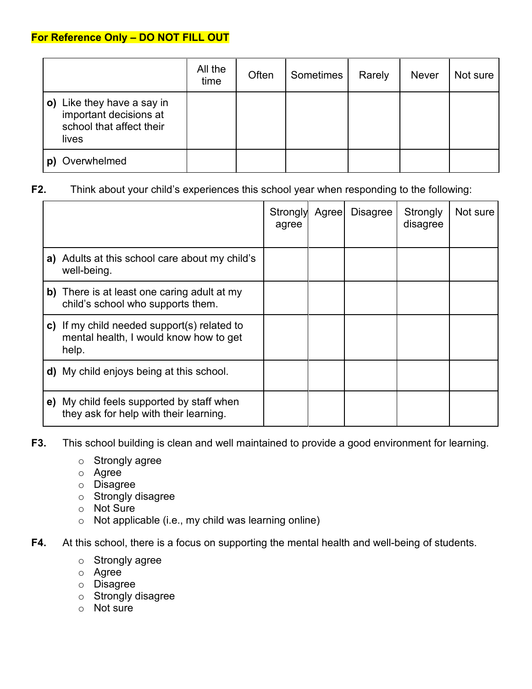|                                                                                           | All the<br>time | Often | Sometimes | Rarely | <b>Never</b> | Not sure |
|-------------------------------------------------------------------------------------------|-----------------|-------|-----------|--------|--------------|----------|
| o) Like they have a say in<br>important decisions at<br>school that affect their<br>lives |                 |       |           |        |              |          |
| Overwhelmed                                                                               |                 |       |           |        |              |          |

#### **F2.** Think about your child's experiences this school year when responding to the following:

|                                                                                                | Strongly<br>agree | Agree | <b>Disagree</b> | Strongly<br>disagree | Not sure |
|------------------------------------------------------------------------------------------------|-------------------|-------|-----------------|----------------------|----------|
| a) Adults at this school care about my child's<br>well-being.                                  |                   |       |                 |                      |          |
| b) There is at least one caring adult at my<br>child's school who supports them.               |                   |       |                 |                      |          |
| c) If my child needed support(s) related to<br>mental health, I would know how to get<br>help. |                   |       |                 |                      |          |
| <b>d)</b> My child enjoys being at this school.                                                |                   |       |                 |                      |          |
| e) My child feels supported by staff when<br>they ask for help with their learning.            |                   |       |                 |                      |          |

- **F3.** This school building is clean and well maintained to provide a good environment for learning.
	- o Strongly agree
	- o Agree
	- o Disagree
	- o Strongly disagree
	- o Not Sure
	- o Not applicable (i.e., my child was learning online)
- **F4.** At this school, there is a focus on supporting the mental health and well-being of students.
	- o Strongly agree
	- o Agree
	- o Disagree
	- o Strongly disagree
	- o Not sure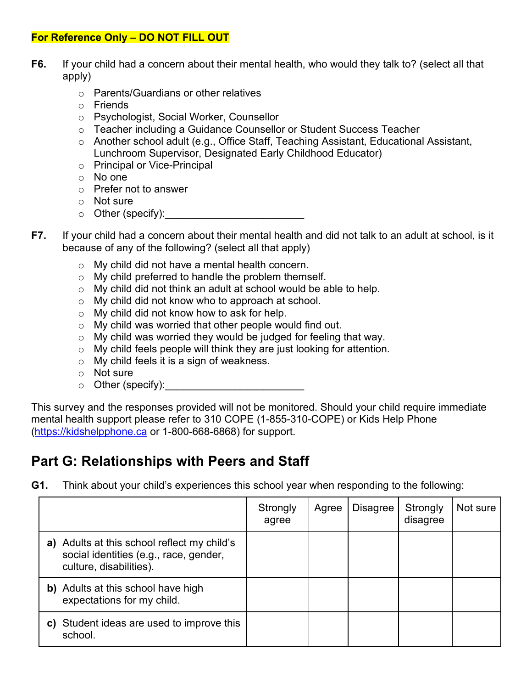- **F6.** If your child had a concern about their mental health, who would they talk to? (select all that apply)
	- o Parents/Guardians or other relatives
	- o Friends
	- o Psychologist, Social Worker, Counsellor
	- o Teacher including a Guidance Counsellor or Student Success Teacher
	- o Another school adult (e.g., Office Staff, Teaching Assistant, Educational Assistant, Lunchroom Supervisor, Designated Early Childhood Educator)
	- o Principal or Vice-Principal
	- o No one
	- o Prefer not to answer
	- o Not sure
	- $\circ$  Other (specify):
- **F7.** If your child had a concern about their mental health and did not talk to an adult at school, is it because of any of the following? (select all that apply)
	- o My child did not have a mental health concern.
	- o My child preferred to handle the problem themself.
	- o My child did not think an adult at school would be able to help.
	- o My child did not know who to approach at school.
	- o My child did not know how to ask for help.
	- o My child was worried that other people would find out.
	- $\circ$  My child was worried they would be judged for feeling that way.
	- o My child feels people will think they are just looking for attention.
	- o My child feels it is a sign of weakness.
	- o Not sure
	- o Other (specify):\_\_\_\_\_\_\_\_\_\_\_\_\_\_\_\_\_\_\_\_\_\_\_\_

This survey and the responses provided will not be monitored. Should your child require immediate mental health support please refer to 310 COPE (1-855-310-COPE) or Kids Help Phone [\(https://kidshelpphone.ca](https://kidshelpphone.ca/) or 1-800-668-6868) for support.

# **Part G: Relationships with Peers and Staff**

**G1.** Think about your child's experiences this school year when responding to the following:

|                                                                                                                  | Strongly<br>agree | Agree | <b>Disagree</b> | Strongly<br>disagree | Not sure |
|------------------------------------------------------------------------------------------------------------------|-------------------|-------|-----------------|----------------------|----------|
| a) Adults at this school reflect my child's<br>social identities (e.g., race, gender,<br>culture, disabilities). |                   |       |                 |                      |          |
| <b>b)</b> Adults at this school have high<br>expectations for my child.                                          |                   |       |                 |                      |          |
| Student ideas are used to improve this<br>C)<br>school.                                                          |                   |       |                 |                      |          |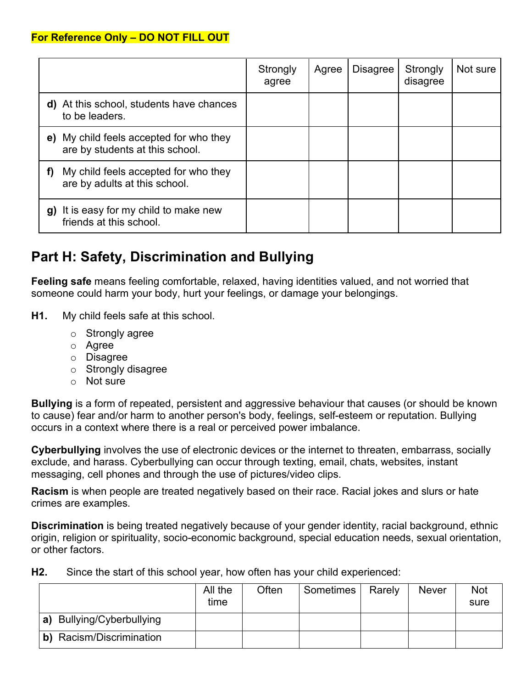|                                                                               | Strongly<br>agree | Agree | <b>Disagree</b> | Strongly<br>disagree | Not sure |
|-------------------------------------------------------------------------------|-------------------|-------|-----------------|----------------------|----------|
| At this school, students have chances<br>d)<br>to be leaders.                 |                   |       |                 |                      |          |
| My child feels accepted for who they<br>e)<br>are by students at this school. |                   |       |                 |                      |          |
| My child feels accepted for who they<br>f)<br>are by adults at this school.   |                   |       |                 |                      |          |
| It is easy for my child to make new<br>g)<br>friends at this school.          |                   |       |                 |                      |          |

# **Part H: Safety, Discrimination and Bullying**

**Feeling safe** means feeling comfortable, relaxed, having identities valued, and not worried that someone could harm your body, hurt your feelings, or damage your belongings.

- **H1.** My child feels safe at this school.
	- o Strongly agree
	- o Agree
	- o Disagree
	- o Strongly disagree
	- o Not sure

**Bullying** is a form of repeated, persistent and aggressive behaviour that causes (or should be known to cause) fear and/or harm to another person's body, feelings, self-esteem or reputation. Bullying occurs in a context where there is a real or perceived power imbalance.

**Cyberbullying** involves the use of electronic devices or the internet to threaten, embarrass, socially exclude, and harass. Cyberbullying can occur through texting, email, chats, websites, instant messaging, cell phones and through the use of pictures/video clips.

**Racism** is when people are treated negatively based on their race. Racial jokes and slurs or hate crimes are examples.

**Discrimination** is being treated negatively because of your gender identity, racial background, ethnic origin, religion or spirituality, socio-economic background, special education needs, sexual orientation, or other factors.

**H2.** Since the start of this school year, how often has your child experienced:

|                                 | All the<br>time | Often | Sometimes | Rarely | <b>Never</b> | <b>Not</b><br>sure |
|---------------------------------|-----------------|-------|-----------|--------|--------------|--------------------|
| a) Bullying/Cyberbullying       |                 |       |           |        |              |                    |
| <b>b)</b> Racism/Discrimination |                 |       |           |        |              |                    |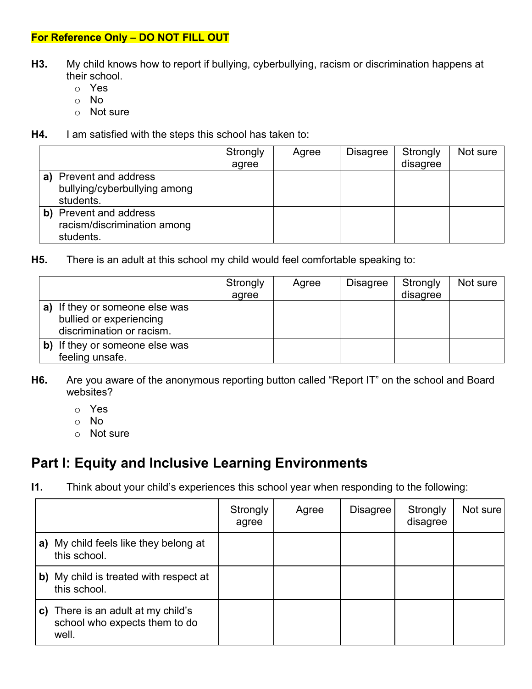- **H3.** My child knows how to report if bullying, cyberbullying, racism or discrimination happens at their school.
	- o Yes
	- o No
	- o Not sure
- **H4.** I am satisfied with the steps this school has taken to:

|    |                                                                  | Strongly<br>agree | Agree | Disagree | Strongly<br>disagree | Not sure |
|----|------------------------------------------------------------------|-------------------|-------|----------|----------------------|----------|
| a) | Prevent and address<br>bullying/cyberbullying among<br>students. |                   |       |          |                      |          |
|    | Prevent and address<br>racism/discrimination among<br>students.  |                   |       |          |                      |          |

**H5.** There is an adult at this school my child would feel comfortable speaking to:

|                                                                                        | Strongly<br>agree | Agree | <b>Disagree</b> | Strongly<br>disagree | Not sure |
|----------------------------------------------------------------------------------------|-------------------|-------|-----------------|----------------------|----------|
| a) If they or someone else was<br>bullied or experiencing<br>discrimination or racism. |                   |       |                 |                      |          |
| b) If they or someone else was<br>feeling unsafe.                                      |                   |       |                 |                      |          |

- **H6.** Are you aware of the anonymous reporting button called "Report IT" on the school and Board websites?
	- o Yes
	- o No
	- o Not sure

# **Part I: Equity and Inclusive Learning Environments**

**I1.** Think about your child's experiences this school year when responding to the following:

|    |                                                                           | Strongly<br>agree | Agree | <b>Disagree</b> | Strongly<br>disagree | Not sure |
|----|---------------------------------------------------------------------------|-------------------|-------|-----------------|----------------------|----------|
| a) | My child feels like they belong at<br>this school.                        |                   |       |                 |                      |          |
|    | b) My child is treated with respect at<br>this school.                    |                   |       |                 |                      |          |
| C) | There is an adult at my child's<br>school who expects them to do<br>well. |                   |       |                 |                      |          |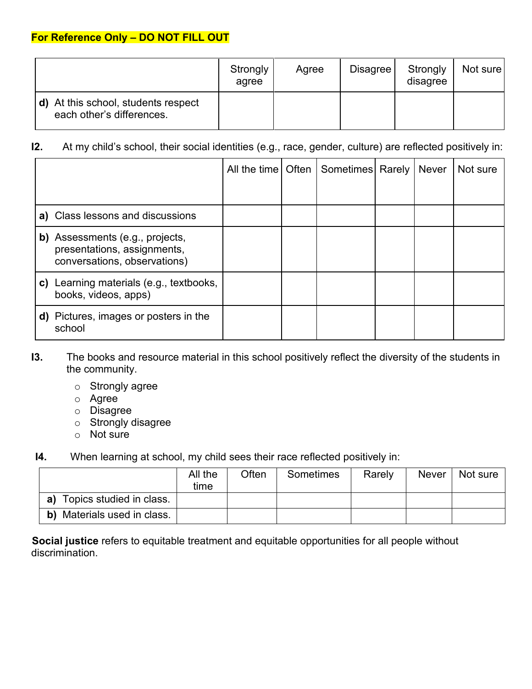|                                                                  | Strongly<br>agree | Agree | <b>Disagree</b> | Strongly<br>disagree | Not sure |
|------------------------------------------------------------------|-------------------|-------|-----------------|----------------------|----------|
| d) At this school, students respect<br>each other's differences. |                   |       |                 |                      |          |

### **I2.** At my child's school, their social identities (e.g., race, gender, culture) are reflected positively in:

|    |                                                                                                |  | All the time   Often   Sometimes   Rarely | Never | Not sure |
|----|------------------------------------------------------------------------------------------------|--|-------------------------------------------|-------|----------|
|    |                                                                                                |  |                                           |       |          |
|    | a) Class lessons and discussions                                                               |  |                                           |       |          |
|    | b) Assessments (e.g., projects,<br>presentations, assignments,<br>conversations, observations) |  |                                           |       |          |
| C) | Learning materials (e.g., textbooks,<br>books, videos, apps)                                   |  |                                           |       |          |
|    | <b>d)</b> Pictures, images or posters in the<br>school                                         |  |                                           |       |          |

- **I3.** The books and resource material in this school positively reflect the diversity of the students in the community.
	- o Strongly agree
	- o Agree
	- o Disagree
	- o Strongly disagree
	- o Not sure
- **I4.** When learning at school, my child sees their race reflected positively in:

|                                | All the<br>time | Often | Sometimes | Rarely | <b>Never</b> | Not sure |
|--------------------------------|-----------------|-------|-----------|--------|--------------|----------|
| Topics studied in class.<br>a) |                 |       |           |        |              |          |
| Materials used in class.<br>b) |                 |       |           |        |              |          |

**Social justice** refers to equitable treatment and equitable opportunities for all people without discrimination.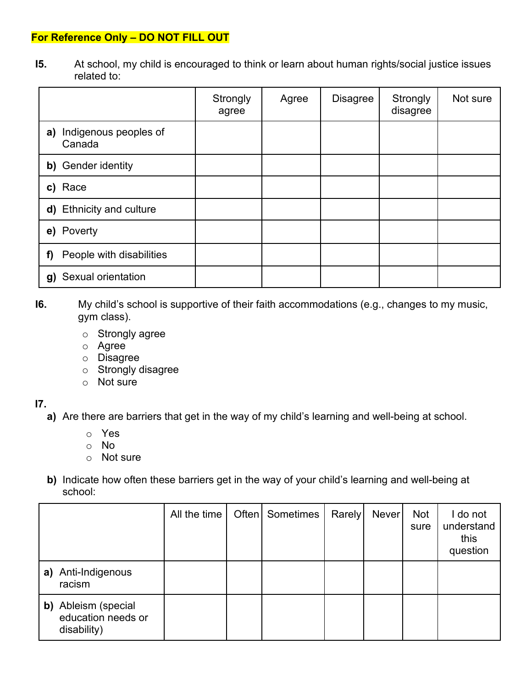**I5.** At school, my child is encouraged to think or learn about human rights/social justice issues related to:

|                                       | Strongly<br>agree | Agree | <b>Disagree</b> | Strongly<br>disagree | Not sure |
|---------------------------------------|-------------------|-------|-----------------|----------------------|----------|
| Indigenous peoples of<br>a)<br>Canada |                   |       |                 |                      |          |
| b) Gender identity                    |                   |       |                 |                      |          |
| c) Race                               |                   |       |                 |                      |          |
| d) Ethnicity and culture              |                   |       |                 |                      |          |
| e) Poverty                            |                   |       |                 |                      |          |
| People with disabilities<br>f)        |                   |       |                 |                      |          |
| Sexual orientation<br>g)              |                   |       |                 |                      |          |

- **I6.** My child's school is supportive of their faith accommodations (e.g., changes to my music, gym class).
	- o Strongly agree
	- o Agree
	- o Disagree
	- o Strongly disagree
	- o Not sure

#### **I7.**

- **a)** Are there are barriers that get in the way of my child's learning and well-being at school.
	- o Yes
	- o No
	- o Not sure
- **b)** Indicate how often these barriers get in the way of your child's learning and well-being at school:

|    |                                                          | All the time | Often | Sometimes | Rarely | <b>Never</b> | <b>Not</b><br>sure | I do not<br>understand<br>this<br>question |
|----|----------------------------------------------------------|--------------|-------|-----------|--------|--------------|--------------------|--------------------------------------------|
| a) | Anti-Indigenous<br>racism                                |              |       |           |        |              |                    |                                            |
|    | b) Ableism (special<br>education needs or<br>disability) |              |       |           |        |              |                    |                                            |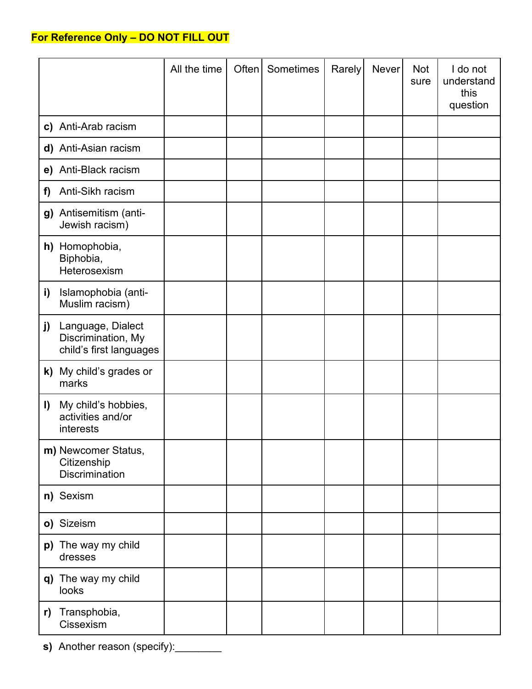|    |                                                                    | All the time | Often | Sometimes | Rarely | <b>Never</b> | Not<br>sure | I do not<br>understand<br>this<br>question |
|----|--------------------------------------------------------------------|--------------|-------|-----------|--------|--------------|-------------|--------------------------------------------|
|    | c) Anti-Arab racism                                                |              |       |           |        |              |             |                                            |
|    | d) Anti-Asian racism                                               |              |       |           |        |              |             |                                            |
|    | e) Anti-Black racism                                               |              |       |           |        |              |             |                                            |
| f) | Anti-Sikh racism                                                   |              |       |           |        |              |             |                                            |
|    | g) Antisemitism (anti-<br>Jewish racism)                           |              |       |           |        |              |             |                                            |
|    | h) Homophobia,<br>Biphobia,<br>Heterosexism                        |              |       |           |        |              |             |                                            |
| i) | Islamophobia (anti-<br>Muslim racism)                              |              |       |           |        |              |             |                                            |
| j) | Language, Dialect<br>Discrimination, My<br>child's first languages |              |       |           |        |              |             |                                            |
|    | k) My child's grades or<br>marks                                   |              |       |           |        |              |             |                                            |
| I) | My child's hobbies,<br>activities and/or<br>interests              |              |       |           |        |              |             |                                            |
|    | m) Newcomer Status,<br>Citizenship<br><b>Discrimination</b>        |              |       |           |        |              |             |                                            |
|    | n) Sexism                                                          |              |       |           |        |              |             |                                            |
|    | o) Sizeism                                                         |              |       |           |        |              |             |                                            |
|    | p) The way my child<br>dresses                                     |              |       |           |        |              |             |                                            |
|    | q) The way my child<br>looks                                       |              |       |           |        |              |             |                                            |
| r) | Transphobia,<br>Cissexism                                          |              |       |           |        |              |             |                                            |

**s)** Another reason (specify):\_\_\_\_\_\_\_\_\_